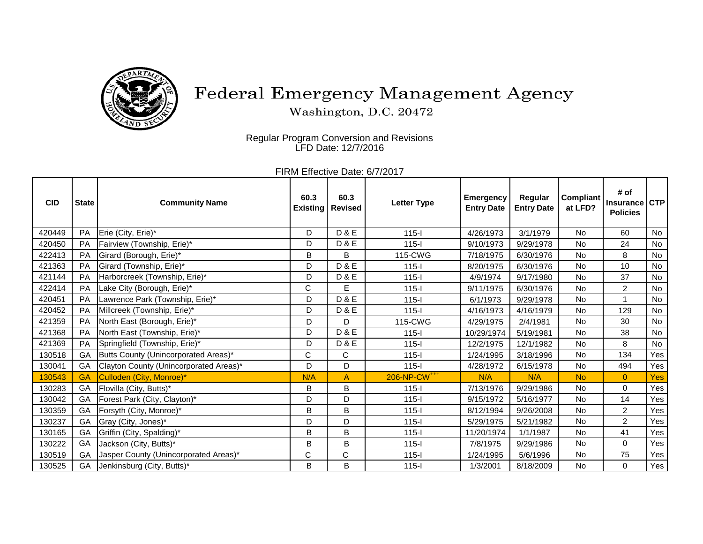

## Federal Emergency Management Agency

Washington, D.C. 20472

Regular Program Conversion and Revisions LFD Date: 12/7/2016

FIRM Effective Date: 6/7/2017

| <b>CID</b> | <b>State</b> | <b>Community Name</b>                  | 60.3        | 60.3<br><b>Existing   Revised</b> | <b>Letter Type</b>       | <b>Emergency</b><br><b>Entry Date</b> | Regular<br><b>Entry Date</b> | Compliant<br>at LFD? | # of<br><b>Insurance</b><br><b>Policies</b> | <b>CTP</b> |
|------------|--------------|----------------------------------------|-------------|-----------------------------------|--------------------------|---------------------------------------|------------------------------|----------------------|---------------------------------------------|------------|
| 420449     | PA           | Erie (City, Erie)*                     | D           | <b>D&amp;E</b>                    | $115 -$                  | 4/26/1973                             | 3/1/1979                     | No.                  | 60                                          | No         |
| 420450     | <b>PA</b>    | Fairview (Township, Erie)*             | D           | D & E                             | $115 -$                  | 9/10/1973                             | 9/29/1978                    | No                   | 24                                          | No         |
| 422413     | PA           | Girard (Borough, Erie)*                | B           | B                                 | 115-CWG                  | 7/18/1975                             | 6/30/1976                    | No                   | 8                                           | No         |
| 421363     | <b>PA</b>    | Girard (Township, Erie)*               | D           | <b>D&amp;E</b>                    | $115 -$                  | 8/20/1975                             | 6/30/1976                    | <b>No</b>            | 10                                          | No         |
| 421144     | <b>PA</b>    | Harborcreek (Township, Erie)*          | D           | <b>D&amp;E</b>                    | $115 -$                  | 4/9/1974                              | 9/17/1980                    | <b>No</b>            | 37                                          | No         |
| 422414     | PA           | Lake City (Borough, Erie)*             | C           | E                                 | $115 -$                  | 9/11/1975                             | 6/30/1976                    | <b>No</b>            | $\overline{2}$                              | No         |
| 420451     | PA           | Lawrence Park (Township, Erie)*        | D           | <b>D&amp;E</b>                    | $115 -$                  | 6/1/1973                              | 9/29/1978                    | No                   | $\overline{1}$                              | No         |
| 420452     | <b>PA</b>    | Millcreek (Township, Erie)*            | D           | <b>D&amp;E</b>                    | $115 -$                  | 4/16/1973                             | 4/16/1979                    | No.                  | 129                                         | <b>No</b>  |
| 421359     | PA           | North East (Borough, Erie)*            | D           | D                                 | 115-CWG                  | 4/29/1975                             | 2/4/1981                     | <b>No</b>            | 30                                          | No         |
| 421368     | PA           | North East (Township, Erie)*           | D           | <b>D&amp;E</b>                    | $115 -$                  | 10/29/1974                            | 5/19/1981                    | <b>No</b>            | 38                                          | No         |
| 421369     | PA           | Springfield (Township, Erie)*          | D           | <b>D&amp;E</b>                    | $115 -$                  | 12/2/1975                             | 12/1/1982                    | No                   | 8                                           | No         |
| 130518     | GA           | Butts County (Unincorporated Areas)*   | $\mathsf C$ | C                                 | $115 -$                  | 1/24/1995                             | 3/18/1996                    | <b>No</b>            | 134                                         | Yes        |
| 130041     | GA           | Clayton County (Unincorporated Areas)* | D           | D                                 | $115 -$                  | 4/28/1972                             | 6/15/1978                    | <b>No</b>            | 494                                         | Yes        |
| 130543     | <b>GA</b>    | Culloden (City, Monroe)*               | N/A         | A                                 | 206-NP-CW <sup>+++</sup> | N/A                                   | N/A                          | <b>No</b>            | $\overline{0}$                              | Yes        |
| 130283     | GA           | Flovilla (City, Butts)*                | B           | B                                 | $115-I$                  | 7/13/1976                             | 9/29/1986                    | No.                  | $\Omega$                                    | Yes        |
| 130042     | GA           | Forest Park (City, Clayton)*           | D           | D                                 | $115 -$                  | 9/15/1972                             | 5/16/1977                    | No                   | 14                                          | Yes        |
| 130359     | GA           | Forsyth (City, Monroe)*                | B           | B                                 | $115 -$                  | 8/12/1994                             | 9/26/2008                    | <b>No</b>            | $\overline{2}$                              | Yes        |
| 130237     | GA           | Gray (City, Jones)*                    | D           | D                                 | $115 -$                  | 5/29/1975                             | 5/21/1982                    | No                   | $\overline{2}$                              | Yes        |
| 130165     | GA           | Griffin (City, Spalding)*              | B           | B                                 | $115-I$                  | 11/20/1974                            | 1/1/1987                     | <b>No</b>            | 41                                          | Yes        |
| 130222     | GA           | Jackson (City, Butts)*                 | B           | B                                 | $115 -$                  | 7/8/1975                              | 9/29/1986                    | No                   | $\Omega$                                    | Yes        |
| 130519     | GA           | Jasper County (Unincorporated Areas)*  | C           | C                                 | $115 -$                  | 1/24/1995                             | 5/6/1996                     | <b>No</b>            | 75                                          | Yes        |
| 130525     | GA           | Jenkinsburg (City, Butts)*             | B           | B                                 | $115 -$                  | 1/3/2001                              | 8/18/2009                    | No                   | 0                                           | Yes        |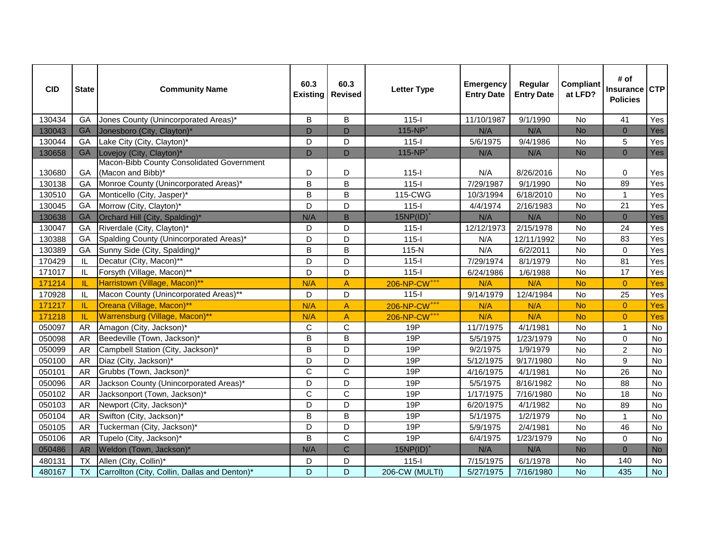| <b>CID</b> | <b>State</b> | <b>Community Name</b>                         | 60.3<br><b>Existing</b> | 60.3<br><b>Revised</b> | <b>Letter Type</b>       | <b>Emergency</b><br><b>Entry Date</b> | Regular<br><b>Entry Date</b> | <b>Compliant</b><br>at LFD? | # of<br><b>Insurance</b><br><b>Policies</b> | <b>CTP</b> |
|------------|--------------|-----------------------------------------------|-------------------------|------------------------|--------------------------|---------------------------------------|------------------------------|-----------------------------|---------------------------------------------|------------|
| 130434     | GA           | Jones County (Unincorporated Areas)*          | B                       | B                      | $115-I$                  | 11/10/1987                            | 9/1/1990                     | No                          | 41                                          | Yes        |
| 130043     | <b>GA</b>    | Jonesboro (City, Clayton)*                    | $\mathsf D$             | D                      | $115-NP+$                | N/A                                   | N/A                          | <b>No</b>                   | $\mathbf{0}$                                | <b>Yes</b> |
| 130044     | GA           | Lake City (City, Clayton)*                    | D                       | D                      | $115-I$                  | 5/6/1975                              | 9/4/1986                     | No                          | 5                                           | Yes        |
| 130658     | <b>GA</b>    | Lovejoy (City, Clayton)*                      | D                       | D                      | $115-NP+$                | N/A                                   | N/A                          | <b>No</b>                   | $\mathbf{0}$                                | Yes        |
|            |              | Macon-Bibb County Consolidated Government     |                         |                        |                          |                                       |                              |                             |                                             |            |
| 130680     | GA           | (Macon and Bibb)*                             | D                       | D                      | $115-I$                  | N/A                                   | 8/26/2016                    | No                          | 0                                           | Yes        |
| 130138     | GA           | Monroe County (Unincorporated Areas)*         | $\overline{B}$          | B                      | $115-I$                  | 7/29/1987                             | 9/1/1990                     | No                          | 89                                          | Yes        |
| 130510     | GA           | Monticello (City, Jasper)*                    | B                       | B                      | 115-CWG                  | 10/3/1994                             | 6/18/2010                    | <b>No</b>                   | $\overline{1}$                              | Yes        |
| 130045     | GA           | Morrow (City, Clayton)*                       | D                       | D                      | $115-I$                  | 4/4/1974                              | 2/16/1983                    | No                          | 21                                          | Yes        |
| 130638     | <b>GA</b>    | Orchard Hill (City, Spalding)*                | N/A                     | B                      | $15NP(ID)^+$             | N/A                                   | N/A                          | <b>No</b>                   | $\overline{0}$                              | <b>Yes</b> |
| 130047     | GA           | Riverdale (City, Clayton)*                    | D                       | D                      | $115 -$                  | 12/12/1973                            | 2/15/1978                    | No                          | 24                                          | Yes        |
| 130388     | GA           | Spalding County (Unincorporated Areas)*       | D                       | D                      | $115-I$                  | N/A                                   | 12/11/1992                   | No                          | 83                                          | Yes        |
| 130389     | GA           | Sunny Side (City, Spalding)*                  | $\mathsf B$             | B                      | $115-N$                  | N/A                                   | 6/2/2011                     | No                          | $\mathbf 0$                                 | Yes        |
| 170429     | IL           | Decatur (City, Macon)**                       | D                       | D                      | $115-I$                  | 7/29/1974                             | 8/1/1979                     | No                          | 81                                          | Yes        |
| 171017     | IL           | Forsyth (Village, Macon)**                    | D                       | D                      | $115-I$                  | 6/24/1986                             | 1/6/1988                     | No                          | 17                                          | Yes        |
| 171214     | IL.          | Harristown (Village, Macon)**                 | N/A                     | A                      | 206-NP-CW <sup>+++</sup> | N/A                                   | N/A                          | <b>No</b>                   | $\overline{0}$                              | Yes        |
| 170928     | IL           | Macon County (Unincorporated Areas)**         | D                       | D                      | $115 -$                  | 9/14/1979                             | 12/4/1984                    | No                          | 25                                          | Yes        |
| 171217     | -IL.         | Oreana (Village, Macon)**                     | N/A                     | A                      | 206-NP-CW <sup>+++</sup> | N/A                                   | N/A                          | <b>No</b>                   | $\overline{0}$                              | Yes        |
| 171218     | IL           | Warrensburg (Village, Macon)**                | N/A                     | A                      | 206-NP-CW <sup>+++</sup> | N/A                                   | N/A                          | <b>No</b>                   | $\overline{0}$                              | Yes        |
| 050097     | <b>AR</b>    | Amagon (City, Jackson)*                       | $\mathbf C$             | C                      | 19P                      | 11/7/1975                             | 4/1/1981                     | No                          | $\mathbf{1}$                                | No         |
| 050098     | <b>AR</b>    | Beedeville (Town, Jackson)*                   | B                       | B                      | 19P                      | 5/5/1975                              | 1/23/1979                    | <b>No</b>                   | $\mathbf 0$                                 | No         |
| 050099     | <b>AR</b>    | Campbell Station (City, Jackson)*             | $\mathsf B$             | D                      | 19P                      | 9/2/1975                              | 1/9/1979                     | No                          | $\overline{c}$                              | No         |
| 050100     | <b>AR</b>    | Diaz (City, Jackson)*                         | D                       | D                      | 19P                      | 5/12/1975                             | 9/17/1980                    | No                          | $\boldsymbol{9}$                            | <b>No</b>  |
| 050101     | <b>AR</b>    | Grubbs (Town, Jackson)*                       | $\mathsf C$             | $\mathsf C$            | 19P                      | 4/16/1975                             | 4/1/1981                     | No                          | 26                                          | <b>No</b>  |
| 050096     | <b>AR</b>    | Jackson County (Unincorporated Areas)*        | D                       | D                      | 19P                      | 5/5/1975                              | 8/16/1982                    | No                          | 88                                          | No         |
| 050102     | <b>AR</b>    | Jacksonport (Town, Jackson)*                  | $\mathbf C$             | $\mathsf{C}$           | 19P                      | 1/17/1975                             | 7/16/1980                    | No                          | 18                                          | <b>No</b>  |
| 050103     | <b>AR</b>    | Newport (City, Jackson)*                      | D                       | D                      | 19P                      | 6/20/1975                             | 4/1/1982                     | No                          | 89                                          | <b>No</b>  |
| 050104     | <b>AR</b>    | Swifton (City, Jackson)*                      | B                       | B                      | 19P                      | 5/1/1975                              | 1/2/1979                     | No                          | $\mathbf 1$                                 | No         |
| 050105     | <b>AR</b>    | Tuckerman (City, Jackson)*                    | D                       | D                      | 19P                      | 5/9/1975                              | 2/4/1981                     | No                          | 46                                          | No         |
| 050106     | <b>AR</b>    | Tupelo (City, Jackson)*                       | B                       | $\mathsf{C}$           | 19P                      | 6/4/1975                              | 1/23/1979                    | No                          | $\mathbf 0$                                 | <b>No</b>  |
| 050486     | <b>AR</b>    | Weldon (Town, Jackson)*                       | N/A                     | $\mathsf{C}$           | $15NP(ID)^+$             | N/A                                   | N/A                          | <b>No</b>                   | $\mathbf{0}$                                | <b>No</b>  |
| 480131     | <b>TX</b>    | Allen (City, Collin)*                         | D                       | D                      | $115-I$                  | 7/15/1975                             | 6/1/1978                     | No                          | 140                                         | No         |
| 480167     | <b>TX</b>    | Carrollton (City, Collin, Dallas and Denton)* | D                       | D                      | 206-CW (MULTI)           | 5/27/1975                             | 7/16/1980                    | <b>No</b>                   | 435                                         | <b>No</b>  |